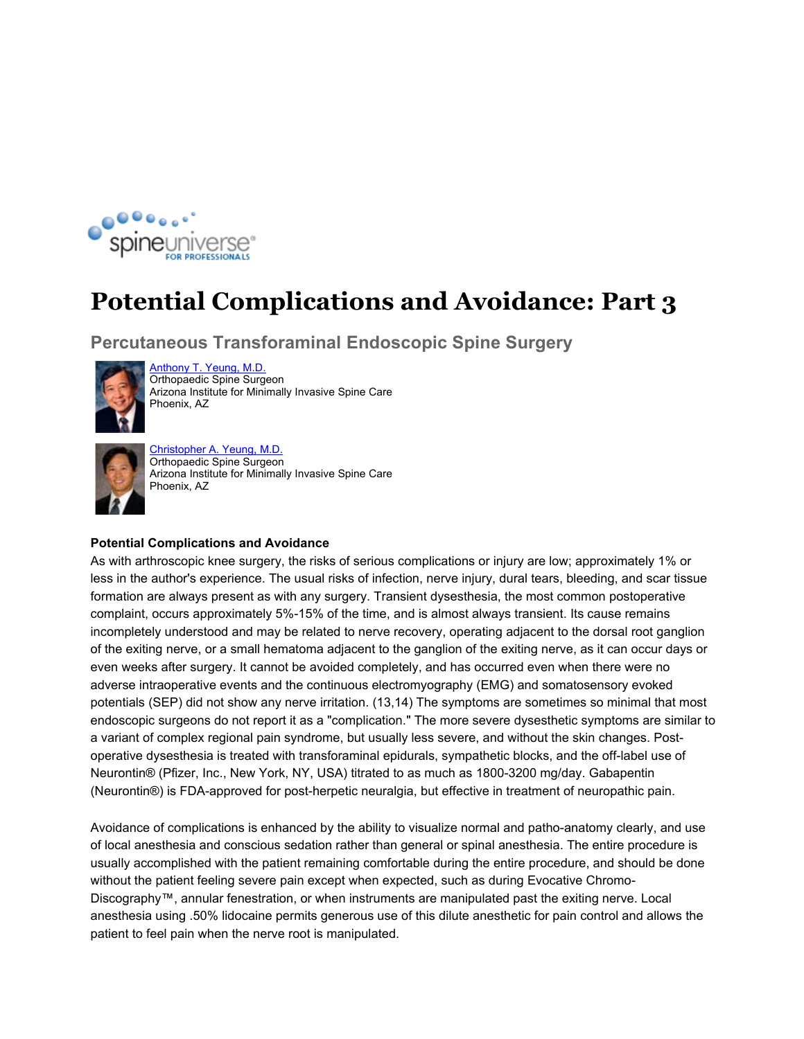

## **Potential Complications and Avoidance: Part 3**

**Percutaneous Transforaminal Endoscopic Spine Surgery**



Anthony T. Yeung, M.D. Orthopaedic Spine Surgeon Arizona Institute for Minimally Invasive Spine Care Phoenix, AZ



Christopher A. Yeung, M.D. Orthopaedic Spine Surgeon Arizona Institute for Minimally Invasive Spine Care Phoenix, AZ

## **Potential Complications and Avoidance**

As with arthroscopic knee surgery, the risks of serious complications or injury are low; approximately 1% or less in the author's experience. The usual risks of infection, nerve injury, dural tears, bleeding, and scar tissue formation are always present as with any surgery. Transient dysesthesia, the most common postoperative complaint, occurs approximately 5%-15% of the time, and is almost always transient. Its cause remains incompletely understood and may be related to nerve recovery, operating adjacent to the dorsal root ganglion of the exiting nerve, or a small hematoma adjacent to the ganglion of the exiting nerve, as it can occur days or even weeks after surgery. It cannot be avoided completely, and has occurred even when there were no adverse intraoperative events and the continuous electromyography (EMG) and somatosensory evoked potentials (SEP) did not show any nerve irritation. (13,14) The symptoms are sometimes so minimal that most endoscopic surgeons do not report it as a "complication." The more severe dysesthetic symptoms are similar to a variant of complex regional pain syndrome, but usually less severe, and without the skin changes. Postoperative dysesthesia is treated with transforaminal epidurals, sympathetic blocks, and the off-label use of Neurontin® (Pfizer, Inc., New York, NY, USA) titrated to as much as 1800-3200 mg/day. Gabapentin (Neurontin®) is FDA-approved for post-herpetic neuralgia, but effective in treatment of neuropathic pain.

Avoidance of complications is enhanced by the ability to visualize normal and patho-anatomy clearly, and use of local anesthesia and conscious sedation rather than general or spinal anesthesia. The entire procedure is usually accomplished with the patient remaining comfortable during the entire procedure, and should be done without the patient feeling severe pain except when expected, such as during Evocative Chromo-Discography™, annular fenestration, or when instruments are manipulated past the exiting nerve. Local anesthesia using .50% lidocaine permits generous use of this dilute anesthetic for pain control and allows the patient to feel pain when the nerve root is manipulated.